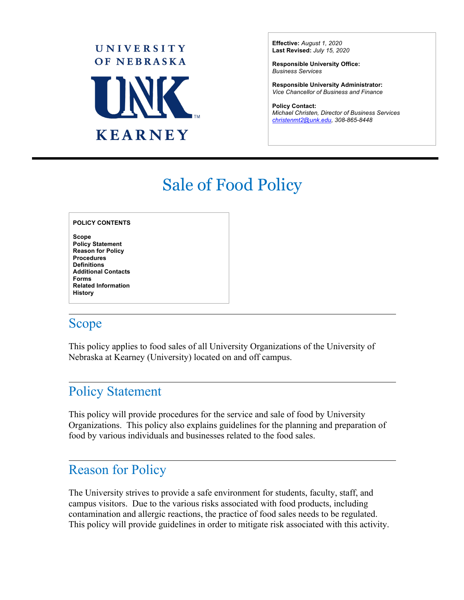

**Effective:** *August 1, 2020* **Last Revised:** *July 15, 2020*

**Responsible University Office:** *Business Services*

**Responsible University Administrator:** *Vice Chancellor of Business and Finance*

**Policy Contact:** *Michael Christen, Director of Business Services [christenmt2@unk.edu, 30](mailto:christenmt2@unk.edu)8-865-8448*

l

# Sale of Food Policy

**Scope Policy Statement Reason for Policy Procedures Definitions Additional Contacts Forms Related Information History**

### Scope

This policy applies to food sales of all University Organizations of the University of Nebraska at Kearney (University) located on and off campus.

## Policy Statement

This policy will provide procedures for the service and sale of food by University Organizations. This policy also explains guidelines for the planning and preparation of food by various individuals and businesses related to the food sales.

### Reason for Policy

The University strives to provide a safe environment for students, faculty, staff, and campus visitors. Due to the various risks associated with food products, including contamination and allergic reactions, the practice of food sales needs to be regulated. This policy will provide guidelines in order to mitigate risk associated with this activity.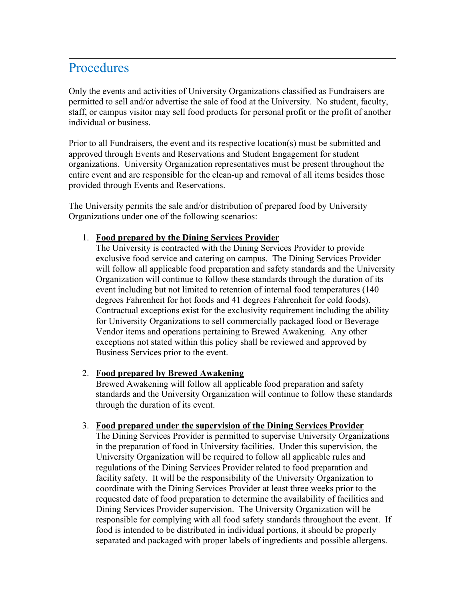### Procedures

Only the events and activities of University Organizations classified as Fundraisers are permitted to sell and/or advertise the sale of food at the University. No student, faculty, staff, or campus visitor may sell food products for personal profit or the profit of another individual or business.

Prior to all Fundraisers, the event and its respective location(s) must be submitted and approved through Events and Reservations and Student Engagement for student organizations. University Organization representatives must be present throughout the entire event and are responsible for the clean-up and removal of all items besides those provided through Events and Reservations.

The University permits the sale and/or distribution of prepared food by University Organizations under one of the following scenarios:

#### 1. **Food prepared by the Dining Services Provider**

The University is contracted with the Dining Services Provider to provide exclusive food service and catering on campus. The Dining Services Provider will follow all applicable food preparation and safety standards and the University Organization will continue to follow these standards through the duration of its event including but not limited to retention of internal food temperatures (140 degrees Fahrenheit for hot foods and 41 degrees Fahrenheit for cold foods). Contractual exceptions exist for the exclusivity requirement including the ability for University Organizations to sell commercially packaged food or Beverage Vendor items and operations pertaining to Brewed Awakening. Any other exceptions not stated within this policy shall be reviewed and approved by Business Services prior to the event.

#### 2. **Food prepared by Brewed Awakening**

Brewed Awakening will follow all applicable food preparation and safety standards and the University Organization will continue to follow these standards through the duration of its event.

#### 3. **Food prepared under the supervision of the Dining Services Provider**

The Dining Services Provider is permitted to supervise University Organizations in the preparation of food in University facilities. Under this supervision, the University Organization will be required to follow all applicable rules and regulations of the Dining Services Provider related to food preparation and facility safety. It will be the responsibility of the University Organization to coordinate with the Dining Services Provider at least three weeks prior to the requested date of food preparation to determine the availability of facilities and Dining Services Provider supervision. The University Organization will be responsible for complying with all food safety standards throughout the event. If food is intended to be distributed in individual portions, it should be properly separated and packaged with proper labels of ingredients and possible allergens.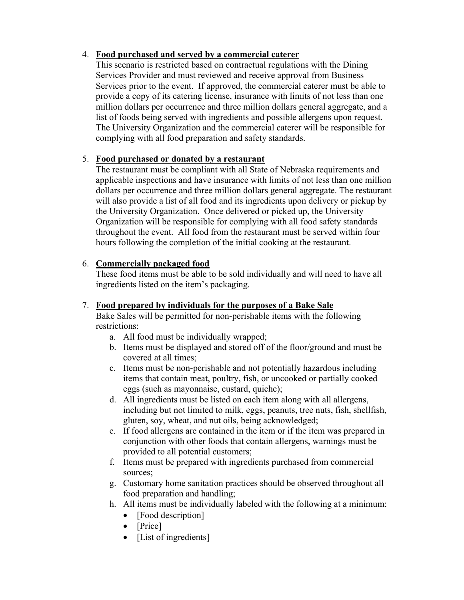#### 4. **Food purchased and served by a commercial caterer**

This scenario is restricted based on contractual regulations with the Dining Services Provider and must reviewed and receive approval from Business Services prior to the event. If approved, the commercial caterer must be able to provide a copy of its catering license, insurance with limits of not less than one million dollars per occurrence and three million dollars general aggregate, and a list of foods being served with ingredients and possible allergens upon request. The University Organization and the commercial caterer will be responsible for complying with all food preparation and safety standards.

#### 5. **Food purchased or donated by a restaurant**

The restaurant must be compliant with all State of Nebraska requirements and applicable inspections and have insurance with limits of not less than one million dollars per occurrence and three million dollars general aggregate. The restaurant will also provide a list of all food and its ingredients upon delivery or pickup by the University Organization. Once delivered or picked up, the University Organization will be responsible for complying with all food safety standards throughout the event. All food from the restaurant must be served within four hours following the completion of the initial cooking at the restaurant.

#### 6. **Commercially packaged food**

These food items must be able to be sold individually and will need to have all ingredients listed on the item's packaging.

#### 7. **Food prepared by individuals for the purposes of a Bake Sale**

Bake Sales will be permitted for non-perishable items with the following restrictions:

- a. All food must be individually wrapped;
- b. Items must be displayed and stored off of the floor/ground and must be covered at all times;
- c. Items must be non-perishable and not potentially hazardous including items that contain meat, poultry, fish, or uncooked or partially cooked eggs (such as mayonnaise, custard, quiche);
- d. All ingredients must be listed on each item along with all allergens, including but not limited to milk, eggs, peanuts, tree nuts, fish, shellfish, gluten, soy, wheat, and nut oils, being acknowledged;
- e. If food allergens are contained in the item or if the item was prepared in conjunction with other foods that contain allergens, warnings must be provided to all potential customers;
- f. Items must be prepared with ingredients purchased from commercial sources;
- g. Customary home sanitation practices should be observed throughout all food preparation and handling;
- h. All items must be individually labeled with the following at a minimum:
	- [Food description]
	- [Price]
	- [List of ingredients]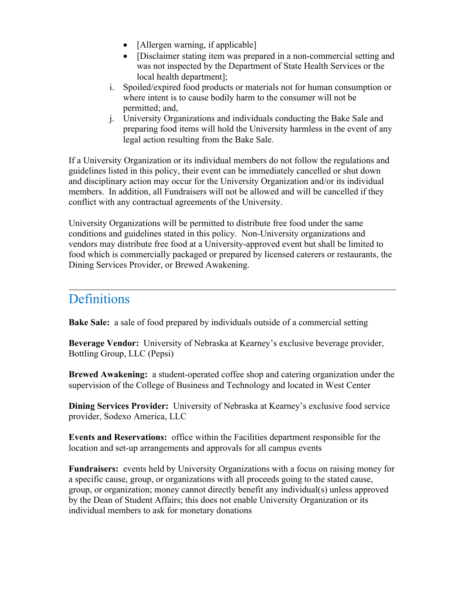- [Allergen warning, if applicable]
- [Disclaimer stating item was prepared in a non-commercial setting and was not inspected by the Department of State Health Services or the local health department];
- i. Spoiled/expired food products or materials not for human consumption or where intent is to cause bodily harm to the consumer will not be permitted; and,
- j. University Organizations and individuals conducting the Bake Sale and preparing food items will hold the University harmless in the event of any legal action resulting from the Bake Sale.

If a University Organization or its individual members do not follow the regulations and guidelines listed in this policy, their event can be immediately cancelled or shut down and disciplinary action may occur for the University Organization and/or its individual members. In addition, all Fundraisers will not be allowed and will be cancelled if they conflict with any contractual agreements of the University.

University Organizations will be permitted to distribute free food under the same conditions and guidelines stated in this policy. Non-University organizations and vendors may distribute free food at a University-approved event but shall be limited to food which is commercially packaged or prepared by licensed caterers or restaurants, the Dining Services Provider, or Brewed Awakening.

### Definitions

**Bake Sale:** a sale of food prepared by individuals outside of a commercial setting

**Beverage Vendor:** University of Nebraska at Kearney's exclusive beverage provider, Bottling Group, LLC (Pepsi)

**Brewed Awakening:** a student-operated coffee shop and catering organization under the supervision of the College of Business and Technology and located in West Center

**Dining Services Provider:** University of Nebraska at Kearney's exclusive food service provider, Sodexo America, LLC

**Events and Reservations:** office within the Facilities department responsible for the location and set-up arrangements and approvals for all campus events

**Fundraisers:** events held by University Organizations with a focus on raising money for a specific cause, group, or organizations with all proceeds going to the stated cause, group, or organization; money cannot directly benefit any individual(s) unless approved by the Dean of Student Affairs; this does not enable University Organization or its individual members to ask for monetary donations